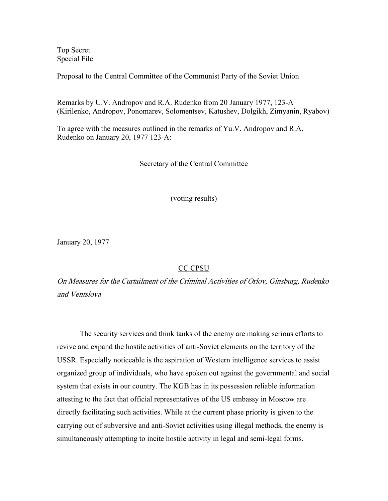Top Secret Special File

Proposal to the Central Committee of the Communist Party of the Soviet Union

Remarks by U.V. Andropov and R.A. Rudenko from 20 January 1977, 123-A (Kirilenko, Andropov, Ponomarev, Solomentsev, Katushev, Dolgikh, Zimyanin, Ryabov)

To agree with the measures outlined in the remarks of Yu.V. Andropov and R.A. Rudenko on January 20, 1977 123-A:

Secretary of the Central Committee

(voting results)

January 20, 1977

## CC CPSU

On Measures for the Curtailment of the Criminal Activities of Orlov, Ginsburg, Rudenko and Ventslova

 The security services and think tanks of the enemy are making serious efforts to revive and expand the hostile activities of anti-Soviet elements on the territory of the USSR. Especially noticeable is the aspiration of Western intelligence services to assist organized group of individuals, who have spoken out against the governmental and social system that exists in our country. The KGB has in its possession reliable information attesting to the fact that official representatives of the US embassy in Moscow are directly facilitating such activities. While at the current phase priority is given to the carrying out of subversive and anti-Soviet activities using illegal methods, the enemy is simultaneously attempting to incite hostile activity in legal and semi-legal forms.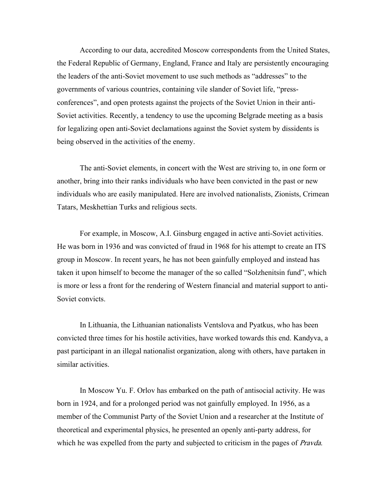According to our data, accredited Moscow correspondents from the United States, the Federal Republic of Germany, England, France and Italy are persistently encouraging the leaders of the anti-Soviet movement to use such methods as "addresses" to the governments of various countries, containing vile slander of Soviet life, "pressconferences", and open protests against the projects of the Soviet Union in their anti-Soviet activities. Recently, a tendency to use the upcoming Belgrade meeting as a basis for legalizing open anti-Soviet declamations against the Soviet system by dissidents is being observed in the activities of the enemy.

 The anti-Soviet elements, in concert with the West are striving to, in one form or another, bring into their ranks individuals who have been convicted in the past or new individuals who are easily manipulated. Here are involved nationalists, Zionists, Crimean Tatars, Meskhettian Turks and religious sects.

 For example, in Moscow, A.I. Ginsburg engaged in active anti-Soviet activities. He was born in 1936 and was convicted of fraud in 1968 for his attempt to create an ITS group in Moscow. In recent years, he has not been gainfully employed and instead has taken it upon himself to become the manager of the so called "Solzhenitsin fund", which is more or less a front for the rendering of Western financial and material support to anti-Soviet convicts.

 In Lithuania, the Lithuanian nationalists Ventslova and Pyatkus, who has been convicted three times for his hostile activities, have worked towards this end. Kandyva, a past participant in an illegal nationalist organization, along with others, have partaken in similar activities.

 In Moscow Yu. F. Orlov has embarked on the path of antisocial activity. He was born in 1924, and for a prolonged period was not gainfully employed. In 1956, as a member of the Communist Party of the Soviet Union and a researcher at the Institute of theoretical and experimental physics, he presented an openly anti-party address, for which he was expelled from the party and subjected to criticism in the pages of *Pravda*.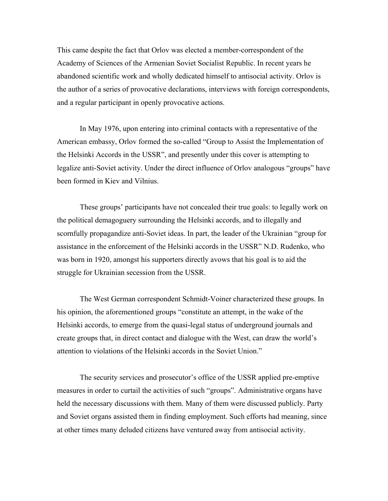This came despite the fact that Orlov was elected a member-correspondent of the Academy of Sciences of the Armenian Soviet Socialist Republic. In recent years he abandoned scientific work and wholly dedicated himself to antisocial activity. Orlov is the author of a series of provocative declarations, interviews with foreign correspondents, and a regular participant in openly provocative actions.

 In May 1976, upon entering into criminal contacts with a representative of the American embassy, Orlov formed the so-called "Group to Assist the Implementation of the Helsinki Accords in the USSR", and presently under this cover is attempting to legalize anti-Soviet activity. Under the direct influence of Orlov analogous "groups" have been formed in Kiev and Vilnius.

 These groups' participants have not concealed their true goals: to legally work on the political demagoguery surrounding the Helsinki accords, and to illegally and scornfully propagandize anti-Soviet ideas. In part, the leader of the Ukrainian "group for assistance in the enforcement of the Helsinki accords in the USSR" N.D. Rudenko, who was born in 1920, amongst his supporters directly avows that his goal is to aid the struggle for Ukrainian secession from the USSR.

 The West German correspondent Schmidt-Voiner characterized these groups. In his opinion, the aforementioned groups "constitute an attempt, in the wake of the Helsinki accords, to emerge from the quasi-legal status of underground journals and create groups that, in direct contact and dialogue with the West, can draw the world's attention to violations of the Helsinki accords in the Soviet Union."

 The security services and prosecutor's office of the USSR applied pre-emptive measures in order to curtail the activities of such "groups". Administrative organs have held the necessary discussions with them. Many of them were discussed publicly. Party and Soviet organs assisted them in finding employment. Such efforts had meaning, since at other times many deluded citizens have ventured away from antisocial activity.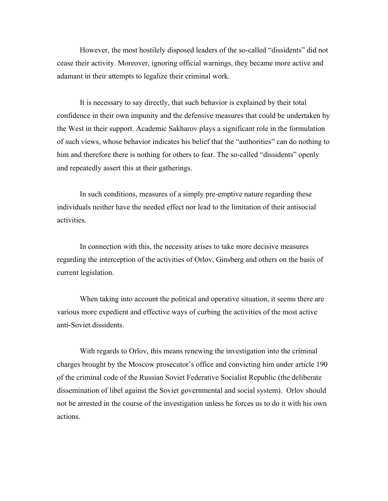However, the most hostilely disposed leaders of the so-called "dissidents" did not cease their activity. Moreover, ignoring official warnings, they became more active and adamant in their attempts to legalize their criminal work.

 It is necessary to say directly, that such behavior is explained by their total confidence in their own impunity and the defensive measures that could be undertaken by the West in their support. Academic Sakharov plays a significant role in the formulation of such views, whose behavior indicates his belief that the "authorities" can do nothing to him and therefore there is nothing for others to fear. The so-called "dissidents" openly and repeatedly assert this at their gatherings.

 In such conditions, measures of a simply pre-emptive nature regarding these individuals neither have the needed effect nor lead to the limitation of their antisocial activities.

In connection with this, the necessity arises to take more decisive measures regarding the interception of the activities of Orlov, Ginsberg and others on the basis of current legislation.

When taking into account the political and operative situation, it seems there are various more expedient and effective ways of curbing the activities of the most active anti-Soviet dissidents.

With regards to Orlov, this means renewing the investigation into the criminal charges brought by the Moscow prosecutor's office and convicting him under article 190 of the criminal code of the Russian Soviet Federative Socialist Republic (the deliberate dissemination of libel against the Soviet governmental and social system). Orlov should not be arrested in the course of the investigation unless he forces us to do it with his own actions.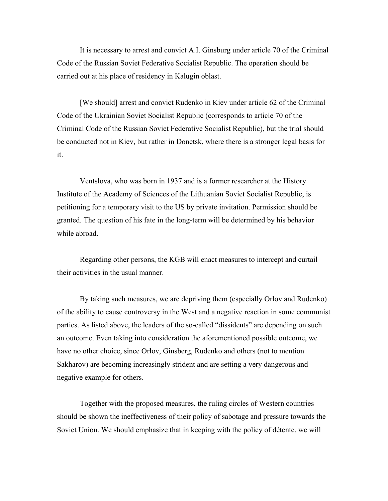It is necessary to arrest and convict A.I. Ginsburg under article 70 of the Criminal Code of the Russian Soviet Federative Socialist Republic. The operation should be carried out at his place of residency in Kalugin oblast.

[We should] arrest and convict Rudenko in Kiev under article 62 of the Criminal Code of the Ukrainian Soviet Socialist Republic (corresponds to article 70 of the Criminal Code of the Russian Soviet Federative Socialist Republic), but the trial should be conducted not in Kiev, but rather in Donetsk, where there is a stronger legal basis for it.

Ventslova, who was born in 1937 and is a former researcher at the History Institute of the Academy of Sciences of the Lithuanian Soviet Socialist Republic, is petitioning for a temporary visit to the US by private invitation. Permission should be granted. The question of his fate in the long-term will be determined by his behavior while abroad.

Regarding other persons, the KGB will enact measures to intercept and curtail their activities in the usual manner.

By taking such measures, we are depriving them (especially Orlov and Rudenko) of the ability to cause controversy in the West and a negative reaction in some communist parties. As listed above, the leaders of the so-called "dissidents" are depending on such an outcome. Even taking into consideration the aforementioned possible outcome, we have no other choice, since Orlov, Ginsberg, Rudenko and others (not to mention Sakharov) are becoming increasingly strident and are setting a very dangerous and negative example for others.

Together with the proposed measures, the ruling circles of Western countries should be shown the ineffectiveness of their policy of sabotage and pressure towards the Soviet Union. We should emphasize that in keeping with the policy of détente, we will